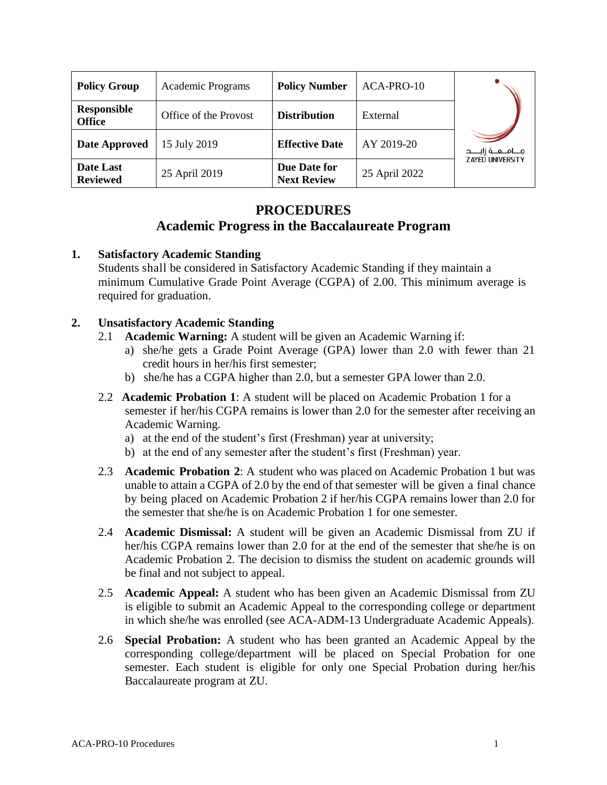| <b>Policy Group</b>                 | Academic Programs     | <b>Policy Number</b>               | ACA-PRO-10    |                         |
|-------------------------------------|-----------------------|------------------------------------|---------------|-------------------------|
| <b>Responsible</b><br><b>Office</b> | Office of the Provost | <b>Distribution</b>                | External      |                         |
| Date Approved                       | 15 July 2019          | <b>Effective Date</b>              | AY 2019-20    |                         |
| Date Last<br><b>Reviewed</b>        | 25 April 2019         | Due Date for<br><b>Next Review</b> | 25 April 2022 | <b>ZAYED UNIVERSITY</b> |

### **PROCEDURES**

## **Academic Progress in the Baccalaureate Program**

#### **1. Satisfactory Academic Standing**

Students shall be considered in Satisfactory Academic Standing if they maintain a minimum Cumulative Grade Point Average (CGPA) of 2.00. This minimum average is required for graduation.

#### **2. Unsatisfactory Academic Standing**

- 2.1 **Academic Warning:** A student will be given an Academic Warning if:
	- a) she/he gets a Grade Point Average (GPA) lower than 2.0 with fewer than 21 credit hours in her/his first semester;
	- b) she/he has a CGPA higher than 2.0, but a semester GPA lower than 2.0.
- 2.2 **Academic Probation 1**: A student will be placed on Academic Probation 1 for a semester if her/his CGPA remains is lower than 2.0 for the semester after receiving an Academic Warning.
	- a) at the end of the student's first (Freshman) year at university;
	- b) at the end of any semester after the student's first (Freshman) year.
- 2.3 **Academic Probation 2**: A student who was placed on Academic Probation 1 but was unable to attain a CGPA of 2.0 by the end of that semester will be given a final chance by being placed on Academic Probation 2 if her/his CGPA remains lower than 2.0 for the semester that she/he is on Academic Probation 1 for one semester.
- 2.4 **Academic Dismissal:** A student will be given an Academic Dismissal from ZU if her/his CGPA remains lower than 2.0 for at the end of the semester that she/he is on Academic Probation 2. The decision to dismiss the student on academic grounds will be final and not subject to appeal.
- 2.5 **Academic Appeal:** A student who has been given an Academic Dismissal from ZU is eligible to submit an Academic Appeal to the corresponding college or department in which she/he was enrolled (see ACA-ADM-13 Undergraduate Academic Appeals).
- 2.6 **Special Probation:** A student who has been granted an Academic Appeal by the corresponding college/department will be placed on Special Probation for one semester. Each student is eligible for only one Special Probation during her/his Baccalaureate program at ZU.